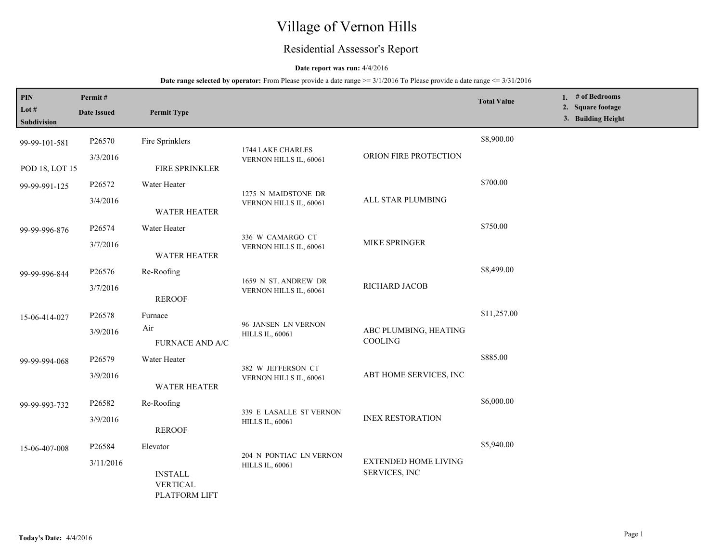# Village of Vernon Hills

## Residential Assessor's Report

### **Date report was run:** 4/4/2016

| PIN<br>Lot $#$<br><b>Subdivision</b> | Permit#<br><b>Date Issued</b>                       | <b>Permit Type</b>                                 |                                                   |                                       | <b>Total Value</b> | 1. # of Bedrooms<br>2. Square footage<br>3. Building Height |
|--------------------------------------|-----------------------------------------------------|----------------------------------------------------|---------------------------------------------------|---------------------------------------|--------------------|-------------------------------------------------------------|
| 99-99-101-581                        | P26570                                              | Fire Sprinklers                                    | 1744 LAKE CHARLES                                 |                                       | \$8,900.00         |                                                             |
| POD 18, LOT 15                       | 3/3/2016                                            | FIRE SPRINKLER                                     | VERNON HILLS IL, 60061                            | ORION FIRE PROTECTION                 |                    |                                                             |
| 99-99-991-125                        | P26572                                              | Water Heater                                       | 1275 N MAIDSTONE DR                               |                                       | \$700.00           |                                                             |
|                                      | 3/4/2016                                            | <b>WATER HEATER</b>                                | VERNON HILLS IL, 60061                            | ALL STAR PLUMBING                     |                    |                                                             |
| 99-99-996-876                        | P26574                                              | Water Heater                                       | 336 W CAMARGO CT                                  |                                       | \$750.00           |                                                             |
|                                      | 3/7/2016                                            | <b>WATER HEATER</b>                                | VERNON HILLS IL, 60061                            | MIKE SPRINGER                         |                    |                                                             |
| 99-99-996-844                        | P26576                                              | Re-Roofing                                         | 1659 N ST. ANDREW DR                              |                                       | \$8,499.00         |                                                             |
|                                      | 3/7/2016<br>VERNON HILLS IL, 60061<br><b>REROOF</b> | RICHARD JACOB                                      |                                                   |                                       |                    |                                                             |
| 15-06-414-027                        | P26578                                              | Furnace                                            | 96 JANSEN LN VERNON                               |                                       | \$11,257.00        |                                                             |
|                                      | 3/9/2016                                            | Air<br><b>FURNACE AND A/C</b>                      | <b>HILLS IL, 60061</b>                            | ABC PLUMBING, HEATING<br>COOLING      |                    |                                                             |
| 99-99-994-068                        | P26579                                              | Water Heater                                       | 382 W JEFFERSON CT                                |                                       | \$885.00           |                                                             |
|                                      | 3/9/2016                                            | WATER HEATER                                       | VERNON HILLS IL, 60061                            | ABT HOME SERVICES, INC                |                    |                                                             |
| 99-99-993-732                        | P26582                                              | Re-Roofing                                         | 339 E LASALLE ST VERNON                           |                                       | \$6,000.00         |                                                             |
|                                      | 3/9/2016                                            | <b>REROOF</b>                                      | <b>HILLS IL, 60061</b>                            | <b>INEX RESTORATION</b>               |                    |                                                             |
| 15-06-407-008                        | P26584                                              | Elevator                                           |                                                   |                                       | \$5,940.00         |                                                             |
|                                      | 3/11/2016                                           | <b>INSTALL</b><br><b>VERTICAL</b><br>PLATFORM LIFT | 204 N PONTIAC LN VERNON<br><b>HILLS IL, 60061</b> | EXTENDED HOME LIVING<br>SERVICES, INC |                    |                                                             |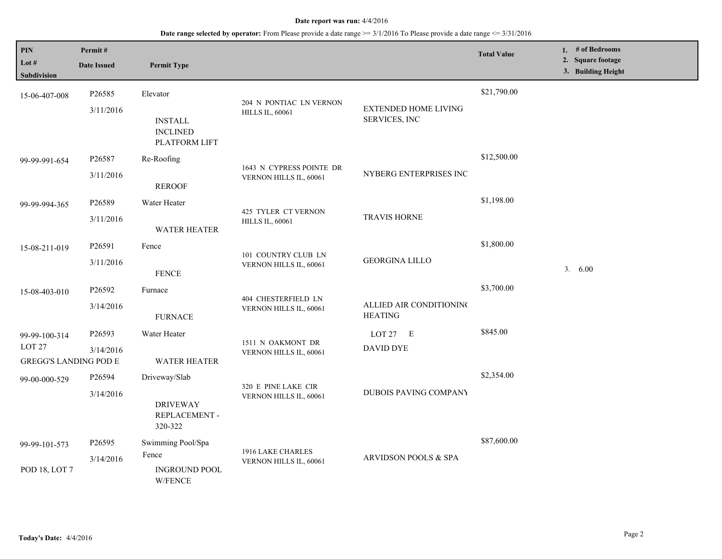| PIN<br>Lot #<br><b>Subdivision</b>                                 | Permit#<br><b>Date Issued</b>   | <b>Permit Type</b>                                             |                                                    |                                              | <b>Total Value</b> | 1. $#$ of Bedrooms<br>2. Square footage<br>3. Building Height |
|--------------------------------------------------------------------|---------------------------------|----------------------------------------------------------------|----------------------------------------------------|----------------------------------------------|--------------------|---------------------------------------------------------------|
| 15-06-407-008                                                      | P26585<br>3/11/2016             | Elevator<br><b>INSTALL</b><br><b>INCLINED</b><br>PLATFORM LIFT | 204 N PONTIAC LN VERNON<br><b>HILLS IL, 60061</b>  | <b>EXTENDED HOME LIVING</b><br>SERVICES, INC | \$21,790.00        |                                                               |
| 99-99-991-654                                                      | P26587<br>3/11/2016             | Re-Roofing<br><b>REROOF</b>                                    | 1643 N CYPRESS POINTE DR<br>VERNON HILLS IL, 60061 | NYBERG ENTERPRISES INC                       | \$12,500.00        |                                                               |
| 99-99-994-365                                                      | P <sub>26589</sub><br>3/11/2016 | Water Heater<br><b>WATER HEATER</b>                            | 425 TYLER CT VERNON<br><b>HILLS IL, 60061</b>      | <b>TRAVIS HORNE</b>                          | \$1,198.00         |                                                               |
| 15-08-211-019                                                      | P <sub>26591</sub><br>3/11/2016 | Fence<br><b>FENCE</b>                                          | 101 COUNTRY CLUB LN<br>VERNON HILLS IL, 60061      | <b>GEORGINA LILLO</b>                        | \$1,800.00         | 3. 6.00                                                       |
| 15-08-403-010                                                      | P26592<br>3/14/2016             | Furnace<br><b>FURNACE</b>                                      | 404 CHESTERFIELD LN<br>VERNON HILLS IL, 60061      | ALLIED AIR CONDITIONING<br><b>HEATING</b>    | \$3,700.00         |                                                               |
| 99-99-100-314<br>LOT <sub>27</sub><br><b>GREGG'S LANDING POD E</b> | P26593<br>3/14/2016             | Water Heater<br><b>WATER HEATER</b>                            | 1511 N OAKMONT DR<br>VERNON HILLS IL, 60061        | $LOT 27$ $E$<br><b>DAVID DYE</b>             | \$845.00           |                                                               |
| 99-00-000-529                                                      | P <sub>26594</sub><br>3/14/2016 | Driveway/Slab<br><b>DRIVEWAY</b><br>REPLACEMENT -<br>320-322   | 320 E PINE LAKE CIR<br>VERNON HILLS IL, 60061      | DUBOIS PAVING COMPANY                        | \$2,354.00         |                                                               |
| 99-99-101-573<br>POD 18, LOT 7                                     | P <sub>26595</sub><br>3/14/2016 | Swimming Pool/Spa<br>Fence<br><b>INGROUND POOL</b><br>W/FENCE  | 1916 LAKE CHARLES<br>VERNON HILLS IL, 60061        | <b>ARVIDSON POOLS &amp; SPA</b>              | \$87,600.00        |                                                               |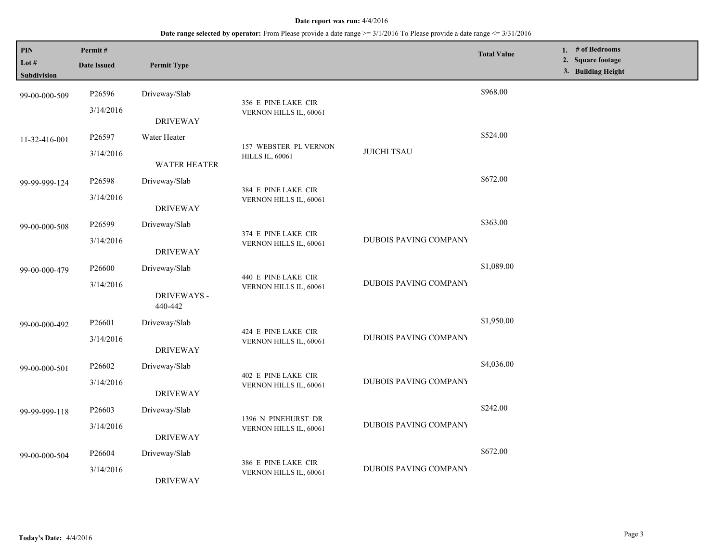| PIN<br>Lot #<br><b>Subdivision</b> | Permit#<br><b>Date Issued</b> | <b>Permit Type</b>     |                                               |                              | <b>Total Value</b> | 1. $#$ of Bedrooms<br>2. Square footage<br>3. Building Height |
|------------------------------------|-------------------------------|------------------------|-----------------------------------------------|------------------------------|--------------------|---------------------------------------------------------------|
| 99-00-000-509                      | P26596                        | Driveway/Slab          |                                               |                              | \$968.00           |                                                               |
|                                    | 3/14/2016                     | <b>DRIVEWAY</b>        | 356 E PINE LAKE CIR<br>VERNON HILLS IL, 60061 |                              |                    |                                                               |
| 11-32-416-001                      | P26597                        | Water Heater           | 157 WEBSTER PL VERNON                         |                              | \$524.00           |                                                               |
|                                    | 3/14/2016                     | <b>WATER HEATER</b>    | <b>HILLS IL, 60061</b>                        | <b>JUICHI TSAU</b>           |                    |                                                               |
| 99-99-999-124                      | P26598                        | Driveway/Slab          | 384 E PINE LAKE CIR                           |                              | \$672.00           |                                                               |
|                                    | 3/14/2016                     | <b>DRIVEWAY</b>        | VERNON HILLS IL, 60061                        |                              |                    |                                                               |
| 99-00-000-508                      | P26599                        | Driveway/Slab          | 374 E PINE LAKE CIR                           |                              | \$363.00           |                                                               |
|                                    | 3/14/2016                     | <b>DRIVEWAY</b>        | VERNON HILLS IL, 60061                        | DUBOIS PAVING COMPANY        |                    |                                                               |
| 99-00-000-479                      | P26600                        | Driveway/Slab          | 440 E PINE LAKE CIR                           |                              | \$1,089.00         |                                                               |
|                                    | 3/14/2016                     | DRIVEWAYS -<br>440-442 | VERNON HILLS IL, 60061                        | DUBOIS PAVING COMPANY        |                    |                                                               |
| 99-00-000-492                      | P <sub>26601</sub>            | Driveway/Slab          |                                               |                              | \$1,950.00         |                                                               |
|                                    | 3/14/2016                     | <b>DRIVEWAY</b>        | 424 E PINE LAKE CIR<br>VERNON HILLS IL, 60061 | DUBOIS PAVING COMPANY        |                    |                                                               |
| 99-00-000-501                      | P26602                        | Driveway/Slab          | 402 E PINE LAKE CIR                           |                              | \$4,036.00         |                                                               |
|                                    | 3/14/2016                     | <b>DRIVEWAY</b>        | VERNON HILLS IL, 60061                        | <b>DUBOIS PAVING COMPANY</b> |                    |                                                               |
| 99-99-999-118                      | P26603                        | Driveway/Slab          | 1396 N PINEHURST DR                           |                              | \$242.00           |                                                               |
|                                    | 3/14/2016                     | <b>DRIVEWAY</b>        | VERNON HILLS IL, 60061                        | <b>DUBOIS PAVING COMPANY</b> |                    |                                                               |
| 99-00-000-504                      | P26604                        | Driveway/Slab          |                                               | <b>DUBOIS PAVING COMPANY</b> | \$672.00           |                                                               |
|                                    | 3/14/2016                     | <b>DRIVEWAY</b>        | 386 E PINE LAKE CIR<br>VERNON HILLS IL, 60061 |                              |                    |                                                               |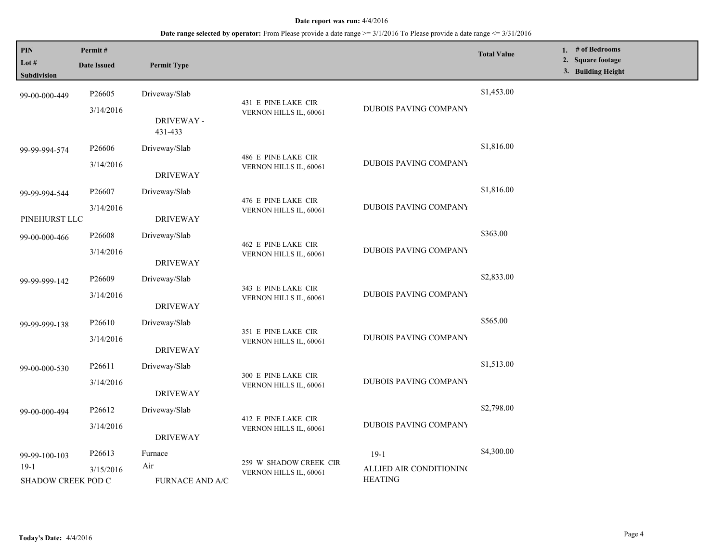| PIN<br>Lot #<br><b>Subdivision</b> | Permit#<br><b>Date Issued</b> | <b>Permit Type</b>     |                                                  |                                           | <b>Total Value</b> | 1. # of Bedrooms<br>2. Square footage<br>3. Building Height |
|------------------------------------|-------------------------------|------------------------|--------------------------------------------------|-------------------------------------------|--------------------|-------------------------------------------------------------|
| 99-00-000-449                      | P <sub>26605</sub>            | Driveway/Slab          |                                                  |                                           | \$1,453.00         |                                                             |
|                                    | 3/14/2016                     | DRIVEWAY -<br>431-433  | 431 E PINE LAKE CIR<br>VERNON HILLS IL, 60061    | DUBOIS PAVING COMPANY                     |                    |                                                             |
| 99-99-994-574                      | P26606                        | Driveway/Slab          |                                                  |                                           | \$1,816.00         |                                                             |
|                                    | 3/14/2016                     | <b>DRIVEWAY</b>        | 486 E PINE LAKE CIR<br>VERNON HILLS IL, 60061    | <b>DUBOIS PAVING COMPANY</b>              |                    |                                                             |
| 99-99-994-544                      | P26607                        | Driveway/Slab          |                                                  |                                           | \$1,816.00         |                                                             |
| PINEHURST LLC                      | 3/14/2016                     | <b>DRIVEWAY</b>        | 476 E PINE LAKE CIR<br>VERNON HILLS IL, 60061    | <b>DUBOIS PAVING COMPANY</b>              |                    |                                                             |
| 99-00-000-466                      | P <sub>26608</sub>            | Driveway/Slab          |                                                  |                                           | \$363.00           |                                                             |
|                                    | 3/14/2016                     | <b>DRIVEWAY</b>        | 462 E PINE LAKE CIR<br>VERNON HILLS IL, 60061    | <b>DUBOIS PAVING COMPANY</b>              |                    |                                                             |
| 99-99-999-142                      | P26609                        | Driveway/Slab          | 343 E PINE LAKE CIR<br>VERNON HILLS IL, 60061    |                                           | \$2,833.00         |                                                             |
|                                    | 3/14/2016                     | <b>DRIVEWAY</b>        |                                                  | DUBOIS PAVING COMPANY                     |                    |                                                             |
| 99-99-999-138                      | P <sub>26610</sub>            | Driveway/Slab          | 351 E PINE LAKE CIR                              |                                           | \$565.00           |                                                             |
|                                    | 3/14/2016                     | <b>DRIVEWAY</b>        | VERNON HILLS IL, 60061                           | DUBOIS PAVING COMPANY                     |                    |                                                             |
| 99-00-000-530                      | P26611                        | Driveway/Slab          |                                                  |                                           | \$1,513.00         |                                                             |
|                                    | 3/14/2016                     | <b>DRIVEWAY</b>        | 300 E PINE LAKE CIR<br>VERNON HILLS IL, 60061    | DUBOIS PAVING COMPANY                     |                    |                                                             |
| 99-00-000-494                      | P26612                        | Driveway/Slab          |                                                  |                                           | \$2,798.00         |                                                             |
|                                    | 3/14/2016                     | <b>DRIVEWAY</b>        | 412 E PINE LAKE CIR<br>VERNON HILLS IL, 60061    | <b>DUBOIS PAVING COMPANY</b>              |                    |                                                             |
| 99-99-100-103                      | P26613                        | Furnace                |                                                  | $19-1$                                    | \$4,300.00         |                                                             |
| $19-1$<br>SHADOW CREEK POD C       | 3/15/2016                     | Air<br>FURNACE AND A/C | 259 W SHADOW CREEK CIR<br>VERNON HILLS IL, 60061 | ALLIED AIR CONDITIONING<br><b>HEATING</b> |                    |                                                             |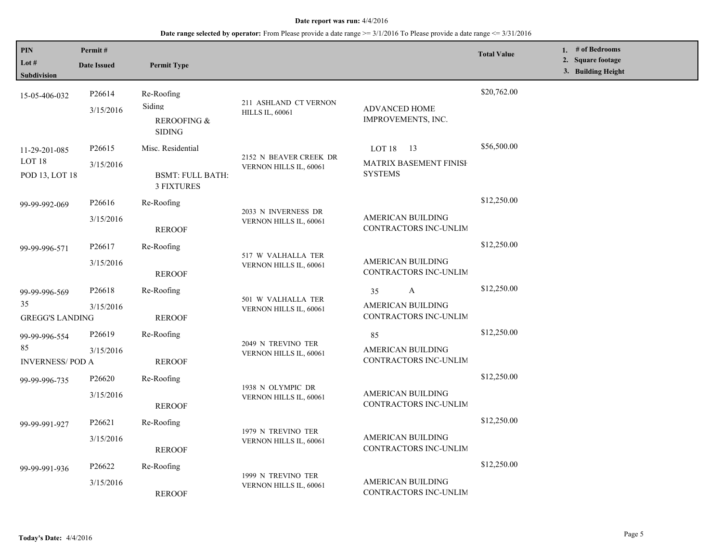| PIN<br>Lot #<br>Subdivision                          | Permit#<br><b>Date Issued</b>   | <b>Permit Type</b>                                                |                                                  |                                                                | <b>Total Value</b> | 1. # of Bedrooms<br>2. Square footage<br>3. Building Height |
|------------------------------------------------------|---------------------------------|-------------------------------------------------------------------|--------------------------------------------------|----------------------------------------------------------------|--------------------|-------------------------------------------------------------|
| 15-05-406-032                                        | P26614<br>3/15/2016             | Re-Roofing<br>Siding<br><b>REROOFING &amp;</b><br><b>SIDING</b>   | 211 ASHLAND CT VERNON<br><b>HILLS IL, 60061</b>  | ADVANCED HOME<br>IMPROVEMENTS, INC.                            | \$20,762.00        |                                                             |
| 11-29-201-085<br>LOT <sub>18</sub><br>POD 13, LOT 18 | P26615<br>3/15/2016             | Misc. Residential<br><b>BSMT: FULL BATH:</b><br><b>3 FIXTURES</b> | 2152 N BEAVER CREEK DR<br>VERNON HILLS IL, 60061 | LOT $18$ 13<br><b>MATRIX BASEMENT FINISH</b><br><b>SYSTEMS</b> | \$56,500.00        |                                                             |
| 99-99-992-069                                        | P <sub>26616</sub><br>3/15/2016 | Re-Roofing<br><b>REROOF</b>                                       | 2033 N INVERNESS DR<br>VERNON HILLS IL, 60061    | AMERICAN BUILDING<br>CONTRACTORS INC-UNLIM                     | \$12,250.00        |                                                             |
| 99-99-996-571                                        | P26617<br>3/15/2016             | Re-Roofing<br><b>REROOF</b>                                       | 517 W VALHALLA TER<br>VERNON HILLS IL, 60061     | AMERICAN BUILDING<br>CONTRACTORS INC-UNLIM                     | \$12,250.00        |                                                             |
| 99-99-996-569<br>35<br><b>GREGG'S LANDING</b>        | P26618<br>3/15/2016             | Re-Roofing<br><b>REROOF</b>                                       | 501 W VALHALLA TER<br>VERNON HILLS IL, 60061     | 35<br>A<br>AMERICAN BUILDING<br>CONTRACTORS INC-UNLIM          | \$12,250.00        |                                                             |
| 99-99-996-554<br>85<br><b>INVERNESS/POD A</b>        | P <sub>26619</sub><br>3/15/2016 | Re-Roofing<br><b>REROOF</b>                                       | 2049 N TREVINO TER<br>VERNON HILLS IL, 60061     | 85<br>AMERICAN BUILDING<br>CONTRACTORS INC-UNLIM               | \$12,250.00        |                                                             |
| 99-99-996-735                                        | P <sub>26620</sub><br>3/15/2016 | Re-Roofing<br><b>REROOF</b>                                       | 1938 N OLYMPIC DR<br>VERNON HILLS IL, 60061      | AMERICAN BUILDING<br>CONTRACTORS INC-UNLIM                     | \$12,250.00        |                                                             |
| 99-99-991-927                                        | P <sub>26621</sub><br>3/15/2016 | Re-Roofing<br><b>REROOF</b>                                       | 1979 N TREVINO TER<br>VERNON HILLS IL, 60061     | <b>AMERICAN BUILDING</b><br>CONTRACTORS INC-UNLIM              | \$12,250.00        |                                                             |
| 99-99-991-936                                        | P26622<br>3/15/2016             | Re-Roofing<br><b>REROOF</b>                                       | 1999 N TREVINO TER<br>VERNON HILLS IL, 60061     | AMERICAN BUILDING<br>CONTRACTORS INC-UNLIM                     | \$12,250.00        |                                                             |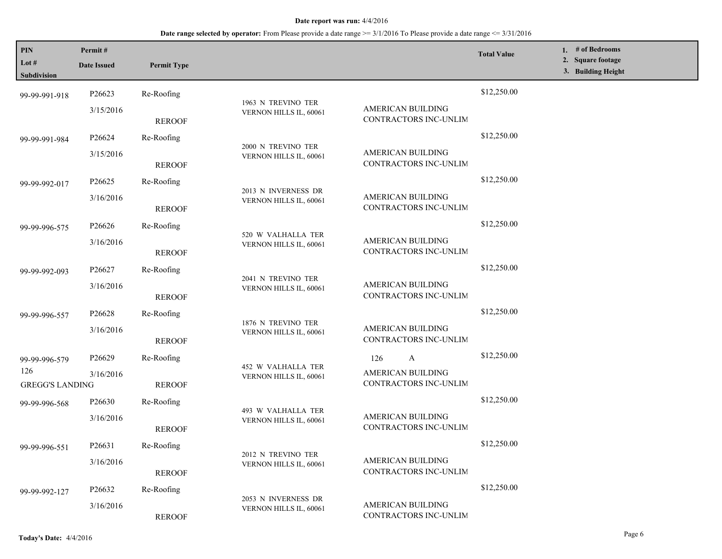| PIN<br>Lot #<br><b>Subdivision</b> | Permit#<br><b>Date Issued</b> | <b>Permit Type</b> |                                               |                                            | <b>Total Value</b> | 1. # of Bedrooms<br>2. Square footage<br>3. Building Height |
|------------------------------------|-------------------------------|--------------------|-----------------------------------------------|--------------------------------------------|--------------------|-------------------------------------------------------------|
| 99-99-991-918                      | P26623                        | Re-Roofing         |                                               |                                            | \$12,250.00        |                                                             |
|                                    | 3/15/2016                     | <b>REROOF</b>      | 1963 N TREVINO TER<br>VERNON HILLS IL, 60061  | AMERICAN BUILDING<br>CONTRACTORS INC-UNLIM |                    |                                                             |
| 99-99-991-984                      | P26624                        | Re-Roofing         | 2000 N TREVINO TER                            |                                            | \$12,250.00        |                                                             |
|                                    | 3/15/2016                     | <b>REROOF</b>      | VERNON HILLS IL, 60061                        | AMERICAN BUILDING<br>CONTRACTORS INC-UNLIM |                    |                                                             |
| 99-99-992-017                      | P <sub>26625</sub>            | Re-Roofing         |                                               |                                            | \$12,250.00        |                                                             |
|                                    | 3/16/2016                     | <b>REROOF</b>      | 2013 N INVERNESS DR<br>VERNON HILLS IL, 60061 | AMERICAN BUILDING<br>CONTRACTORS INC-UNLIM |                    |                                                             |
| 99-99-996-575                      | P <sub>26626</sub>            | Re-Roofing         | 520 W VALHALLA TER<br>VERNON HILLS IL, 60061  |                                            | \$12,250.00        |                                                             |
|                                    | 3/16/2016                     | <b>REROOF</b>      |                                               | AMERICAN BUILDING<br>CONTRACTORS INC-UNLIM |                    |                                                             |
| 99-99-992-093                      | P <sub>26627</sub>            | Re-Roofing         |                                               |                                            | \$12,250.00        |                                                             |
|                                    | 3/16/2016                     | <b>REROOF</b>      | 2041 N TREVINO TER<br>VERNON HILLS IL, 60061  | AMERICAN BUILDING<br>CONTRACTORS INC-UNLIM |                    |                                                             |
| 99-99-996-557                      | P <sub>26628</sub>            | Re-Roofing         |                                               |                                            | \$12,250.00        |                                                             |
|                                    | 3/16/2016                     | <b>REROOF</b>      | 1876 N TREVINO TER<br>VERNON HILLS IL, 60061  | AMERICAN BUILDING<br>CONTRACTORS INC-UNLIM |                    |                                                             |
| 99-99-996-579                      | P <sub>26629</sub>            | Re-Roofing         |                                               | A<br>126                                   | \$12,250.00        |                                                             |
| 126<br><b>GREGG'S LANDING</b>      | 3/16/2016                     | <b>REROOF</b>      | 452 W VALHALLA TER<br>VERNON HILLS IL, 60061  | AMERICAN BUILDING<br>CONTRACTORS INC-UNLIM |                    |                                                             |
| 99-99-996-568                      | P <sub>26630</sub>            | Re-Roofing         |                                               |                                            | \$12,250.00        |                                                             |
|                                    | 3/16/2016                     | <b>REROOF</b>      | 493 W VALHALLA TER<br>VERNON HILLS IL, 60061  | AMERICAN BUILDING<br>CONTRACTORS INC-UNLIM |                    |                                                             |
| 99-99-996-551                      | P <sub>26631</sub>            | Re-Roofing         |                                               |                                            | \$12,250.00        |                                                             |
|                                    | 3/16/2016                     | <b>REROOF</b>      | 2012 N TREVINO TER<br>VERNON HILLS IL, 60061  | AMERICAN BUILDING<br>CONTRACTORS INC-UNLIM |                    |                                                             |
| 99-99-992-127                      | P26632                        | Re-Roofing         |                                               |                                            | \$12,250.00        |                                                             |
|                                    | 3/16/2016                     | <b>REROOF</b>      | 2053 N INVERNESS DR<br>VERNON HILLS IL, 60061 | AMERICAN BUILDING<br>CONTRACTORS INC-UNLIM |                    |                                                             |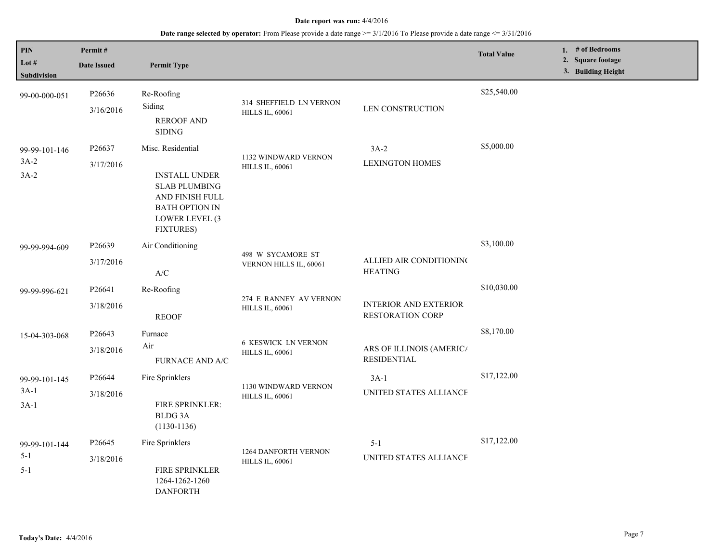| PIN<br>Lot #<br>Subdivision         | Permit#<br><b>Date Issued</b> | <b>Permit Type</b>                                                                                                                           |                                                   |                                                  | <b>Total Value</b> | 1. $#$ of Bedrooms<br>2. Square footage<br>3. Building Height |
|-------------------------------------|-------------------------------|----------------------------------------------------------------------------------------------------------------------------------------------|---------------------------------------------------|--------------------------------------------------|--------------------|---------------------------------------------------------------|
| 99-00-000-051                       | P26636<br>3/16/2016           | Re-Roofing<br>Siding<br><b>REROOF AND</b><br><b>SIDING</b>                                                                                   | 314 SHEFFIELD LN VERNON<br><b>HILLS IL, 60061</b> | LEN CONSTRUCTION                                 | \$25,540.00        |                                                               |
| 99-99-101-146<br>$3A-2$<br>$3A-2$   | P26637<br>3/17/2016           | Misc. Residential<br><b>INSTALL UNDER</b><br><b>SLAB PLUMBING</b><br>AND FINISH FULL<br>BATH OPTION IN<br>LOWER LEVEL (3<br><b>FIXTURES)</b> | 1132 WINDWARD VERNON<br><b>HILLS IL, 60061</b>    | $3A-2$<br><b>LEXINGTON HOMES</b>                 | \$5,000.00         |                                                               |
| 99-99-994-609                       | P26639<br>3/17/2016           | Air Conditioning<br>A/C                                                                                                                      | 498 W SYCAMORE ST<br>VERNON HILLS IL, 60061       | ALLIED AIR CONDITIONING<br><b>HEATING</b>        | \$3,100.00         |                                                               |
| 99-99-996-621                       | P26641<br>3/18/2016           | Re-Roofing<br><b>REOOF</b>                                                                                                                   | 274 E RANNEY AV VERNON<br><b>HILLS IL, 60061</b>  | <b>INTERIOR AND EXTERIOR</b><br>RESTORATION CORP | \$10,030.00        |                                                               |
| 15-04-303-068                       | P26643<br>3/18/2016           | Furnace<br>Air<br><b>FURNACE AND A/C</b>                                                                                                     | <b>6 KESWICK LN VERNON</b><br>HILLS IL, 60061     | ARS OF ILLINOIS (AMERIC/<br><b>RESIDENTIAL</b>   | \$8,170.00         |                                                               |
| 99-99-101-145<br>$3A-1$<br>$3A-1$   | P26644<br>3/18/2016           | Fire Sprinklers<br>FIRE SPRINKLER:<br><b>BLDG 3A</b><br>$(1130-1136)$                                                                        | 1130 WINDWARD VERNON<br><b>HILLS IL, 60061</b>    | $3A-1$<br>UNITED STATES ALLIANCE                 | \$17,122.00        |                                                               |
| 99-99-101-144<br>$5 - 1$<br>$5 - 1$ | P26645<br>3/18/2016           | Fire Sprinklers<br><b>FIRE SPRINKLER</b><br>1264-1262-1260<br><b>DANFORTH</b>                                                                | <b>1264 DANFORTH VERNON</b><br>HILLS IL, 60061    | $5 - 1$<br>UNITED STATES ALLIANCE                | \$17,122.00        |                                                               |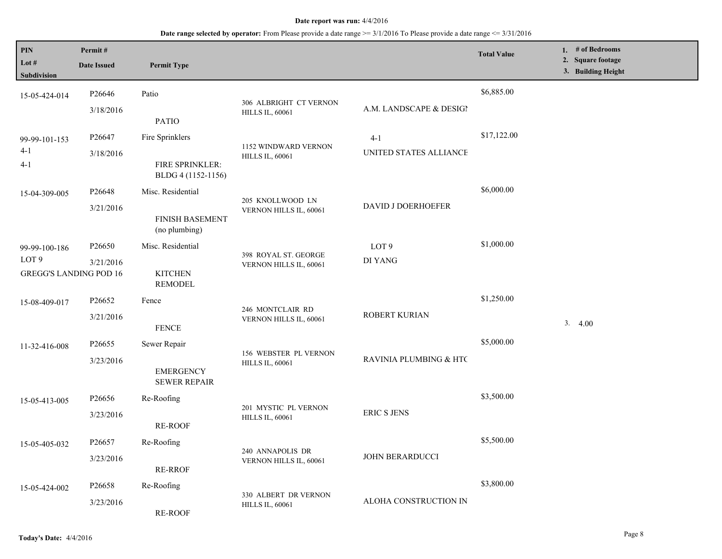| PIN<br>Lot #<br>Subdivision | Permit#<br><b>Date Issued</b>                                                  | <b>Permit Type</b>                      |                                                  |                         | <b>Total Value</b> | 1. $#$ of Bedrooms<br>2. Square footage<br>3. Building Height |
|-----------------------------|--------------------------------------------------------------------------------|-----------------------------------------|--------------------------------------------------|-------------------------|--------------------|---------------------------------------------------------------|
| 15-05-424-014               | P26646                                                                         | Patio                                   |                                                  |                         | \$6,885.00         |                                                               |
|                             | 3/18/2016                                                                      | <b>PATIO</b>                            | 306 ALBRIGHT CT VERNON<br><b>HILLS IL, 60061</b> | A.M. LANDSCAPE & DESIGI |                    |                                                               |
| 99-99-101-153               | P <sub>26647</sub>                                                             | Fire Sprinklers                         | 1152 WINDWARD VERNON                             | $4-1$                   | \$17,122.00        |                                                               |
| $4-1$<br>$4 - 1$            | 3/18/2016                                                                      | FIRE SPRINKLER:<br>BLDG 4 (1152-1156)   | <b>HILLS IL, 60061</b>                           | UNITED STATES ALLIANCE  |                    |                                                               |
| 15-04-309-005               | P26648                                                                         | Misc. Residential                       | 205 KNOLLWOOD LN                                 |                         | \$6,000.00         |                                                               |
|                             | 3/21/2016                                                                      | <b>FINISH BASEMENT</b><br>(no plumbing) | VERNON HILLS IL, 60061                           | DAVID J DOERHOEFER      |                    |                                                               |
| 99-99-100-186               | P26650                                                                         | Misc. Residential                       | 398 ROYAL ST. GEORGE                             | LOT <sub>9</sub>        | \$1,000.00         |                                                               |
| LOT <sub>9</sub>            | 3/21/2016<br><b>GREGG'S LANDING POD 16</b><br><b>KITCHEN</b><br><b>REMODEL</b> | VERNON HILLS IL, 60061                  | DI YANG                                          |                         |                    |                                                               |
| 15-08-409-017               | P26652                                                                         | Fence                                   |                                                  |                         | \$1,250.00         |                                                               |
|                             | 3/21/2016                                                                      | <b>FENCE</b>                            | 246 MONTCLAIR RD<br>VERNON HILLS IL, 60061       | ROBERT KURIAN           |                    | 3.4.00                                                        |
| 11-32-416-008               | P <sub>26655</sub>                                                             | Sewer Repair                            | 156 WEBSTER PL VERNON                            |                         | \$5,000.00         |                                                               |
|                             | 3/23/2016                                                                      | <b>EMERGENCY</b><br><b>SEWER REPAIR</b> | <b>HILLS IL, 60061</b>                           | RAVINIA PLUMBING & HTC  |                    |                                                               |
| 15-05-413-005               | P26656                                                                         | Re-Roofing                              |                                                  |                         | \$3,500.00         |                                                               |
|                             | 3/23/2016                                                                      | <b>RE-ROOF</b>                          | 201 MYSTIC PL VERNON<br><b>HILLS IL, 60061</b>   | <b>ERIC S JENS</b>      |                    |                                                               |
| 15-05-405-032               | P26657                                                                         | Re-Roofing                              | 240 ANNAPOLIS DR                                 |                         | \$5,500.00         |                                                               |
|                             | 3/23/2016                                                                      | <b>RE-RROF</b>                          | VERNON HILLS IL, 60061                           | JOHN BERARDUCCI         |                    |                                                               |
| 15-05-424-002               | P <sub>26658</sub>                                                             | Re-Roofing                              |                                                  | ALOHA CONSTRUCTION IN   | \$3,800.00         |                                                               |
|                             | 3/23/2016                                                                      | <b>RE-ROOF</b>                          | 330 ALBERT DR VERNON<br><b>HILLS IL, 60061</b>   |                         |                    |                                                               |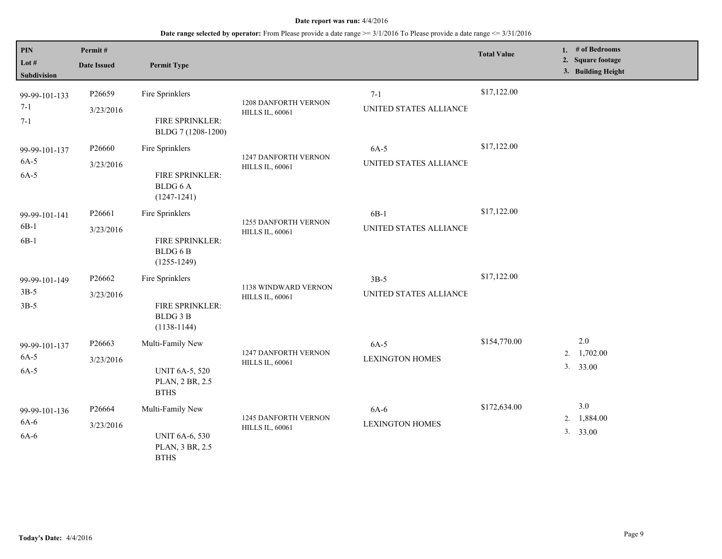| <b>PIN</b><br>Lot $#$<br><b>Subdivision</b> | Permit#<br><b>Date Issued</b> | <b>Permit Type</b>                                                          |                                                       |                                   | <b>Total Value</b> | 1. # of Bedrooms<br>2. Square footage<br>3. Building Height |
|---------------------------------------------|-------------------------------|-----------------------------------------------------------------------------|-------------------------------------------------------|-----------------------------------|--------------------|-------------------------------------------------------------|
| 99-99-101-133<br>$7 - 1$<br>$7 - 1$         | P26659<br>3/23/2016           | Fire Sprinklers<br>FIRE SPRINKLER:<br>BLDG 7 (1208-1200)                    | <b>1208 DANFORTH VERNON</b><br><b>HILLS IL, 60061</b> | $7 - 1$<br>UNITED STATES ALLIANCE | \$17,122.00        |                                                             |
| 99-99-101-137<br>$6A-5$<br>$6A-5$           | P26660<br>3/23/2016           | Fire Sprinklers<br>FIRE SPRINKLER:<br>BLDG 6 A<br>$(1247 - 1241)$           | 1247 DANFORTH VERNON<br><b>HILLS IL, 60061</b>        | $6A-5$<br>UNITED STATES ALLIANCE  | \$17,122.00        |                                                             |
| 99-99-101-141<br>$6B-1$<br>$6B-1$           | P26661<br>3/23/2016           | Fire Sprinklers<br>FIRE SPRINKLER:<br>BLDG 6 B<br>$(1255 - 1249)$           | <b>1255 DANFORTH VERNON</b><br><b>HILLS IL, 60061</b> | $6B-1$<br>UNITED STATES ALLIANCE  | \$17,122.00        |                                                             |
| 99-99-101-149<br>$3B-5$<br>$3B-5$           | P26662<br>3/23/2016           | Fire Sprinklers<br>FIRE SPRINKLER:<br><b>BLDG3B</b><br>$(1138-1144)$        | 1138 WINDWARD VERNON<br><b>HILLS IL, 60061</b>        | $3B-5$<br>UNITED STATES ALLIANCE  | \$17,122.00        |                                                             |
| 99-99-101-137<br>$6A-5$<br>$6A-5$           | P26663<br>3/23/2016           | Multi-Family New<br><b>UNIT 6A-5, 520</b><br>PLAN, 2 BR, 2.5<br><b>BTHS</b> | <b>1247 DANFORTH VERNON</b><br><b>HILLS IL, 60061</b> | $6A-5$<br><b>LEXINGTON HOMES</b>  | \$154,770.00       | 2.0<br>1,702.00<br>2.<br>3. 33.00                           |
| 99-99-101-136<br>$6A-6$<br>$6A-6$           | P26664<br>3/23/2016           | Multi-Family New<br><b>UNIT 6A-6, 530</b><br>PLAN, 3 BR, 2.5<br><b>BTHS</b> | <b>1245 DANFORTH VERNON</b><br><b>HILLS IL, 60061</b> | $6A-6$<br><b>LEXINGTON HOMES</b>  | \$172,634.00       | 3.0<br>1,884.00<br>2.<br>3. 33.00                           |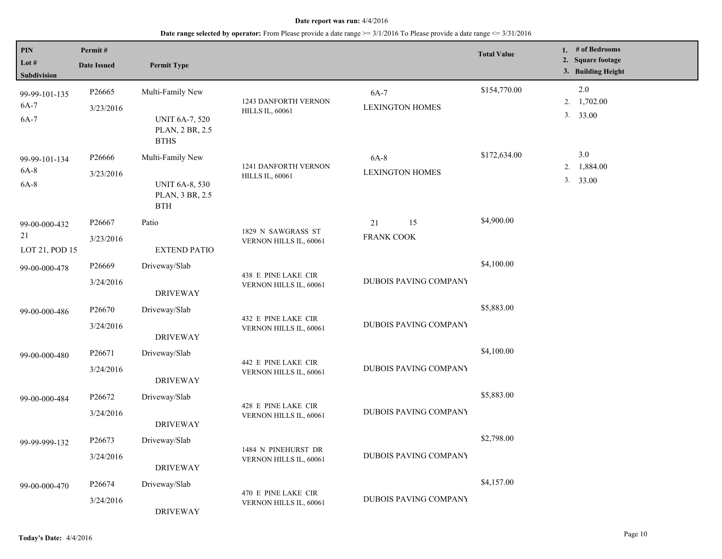| PIN                                   | Permit#                         |                                                                                           |                                                |                                  | <b>Total Value</b> | 1. # of Bedrooms                        |
|---------------------------------------|---------------------------------|-------------------------------------------------------------------------------------------|------------------------------------------------|----------------------------------|--------------------|-----------------------------------------|
| Lot $#$<br>Subdivision                | <b>Date Issued</b>              | <b>Permit Type</b>                                                                        |                                                |                                  |                    | 2. Square footage<br>3. Building Height |
| 99-99-101-135<br>$6A-7$<br>$6A-7$     | P26665<br>3/23/2016             | Multi-Family New<br><b>UNIT 6A-7, 520</b><br>PLAN, 2 BR, 2.5                              | 1243 DANFORTH VERNON<br><b>HILLS IL, 60061</b> | 6A-7<br><b>LEXINGTON HOMES</b>   | \$154,770.00       | $2.0\,$<br>2. 1,702.00<br>3. 33.00      |
| 99-99-101-134<br>$6A-8$<br>$6A-8$     | P26666<br>3/23/2016             | <b>BTHS</b><br>Multi-Family New<br><b>UNIT 6A-8, 530</b><br>PLAN, 3 BR, 2.5<br><b>BTH</b> | 1241 DANFORTH VERNON<br><b>HILLS IL, 60061</b> | $6A-8$<br><b>LEXINGTON HOMES</b> | \$172,634.00       | 3.0<br>2. 1,884.00<br>3. 33.00          |
| 99-00-000-432<br>21<br>LOT 21, POD 15 | P26667<br>3/23/2016             | Patio<br><b>EXTEND PATIO</b>                                                              | 1829 N SAWGRASS ST<br>VERNON HILLS IL, 60061   | 15<br>21<br><b>FRANK COOK</b>    | \$4,900.00         |                                         |
| 99-00-000-478                         | P26669<br>3/24/2016             | Driveway/Slab<br><b>DRIVEWAY</b>                                                          | 438 E PINE LAKE CIR<br>VERNON HILLS IL, 60061  | DUBOIS PAVING COMPANY            | \$4,100.00         |                                         |
| 99-00-000-486                         | P <sub>26670</sub><br>3/24/2016 | Driveway/Slab<br><b>DRIVEWAY</b>                                                          | 432 E PINE LAKE CIR<br>VERNON HILLS IL, 60061  | <b>DUBOIS PAVING COMPANY</b>     | \$5,883.00         |                                         |
| 99-00-000-480                         | P26671<br>3/24/2016             | Driveway/Slab<br><b>DRIVEWAY</b>                                                          | 442 E PINE LAKE CIR<br>VERNON HILLS IL, 60061  | <b>DUBOIS PAVING COMPANY</b>     | \$4,100.00         |                                         |
| 99-00-000-484                         | P26672<br>3/24/2016             | Driveway/Slab<br><b>DRIVEWAY</b>                                                          | 428 E PINE LAKE CIR<br>VERNON HILLS IL, 60061  | DUBOIS PAVING COMPANY            | \$5,883.00         |                                         |
| 99-99-999-132                         | P26673<br>3/24/2016             | Driveway/Slab<br><b>DRIVEWAY</b>                                                          | 1484 N PINEHURST DR<br>VERNON HILLS IL, 60061  | <b>DUBOIS PAVING COMPANY</b>     | \$2,798.00         |                                         |
| 99-00-000-470                         | P26674<br>3/24/2016             | Driveway/Slab<br><b>DRIVEWAY</b>                                                          | 470 E PINE LAKE CIR<br>VERNON HILLS IL, 60061  | <b>DUBOIS PAVING COMPANY</b>     | \$4,157.00         |                                         |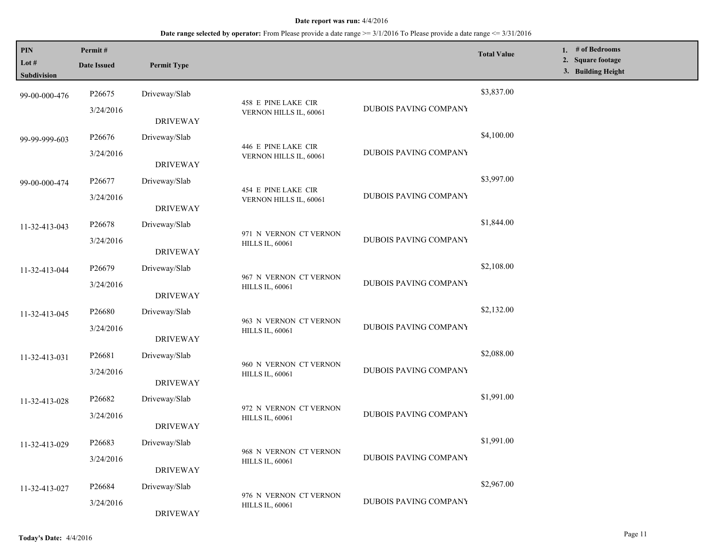| <b>PIN</b><br>Lot #<br>Subdivision | Permit#<br><b>Date Issued</b> | <b>Permit Type</b> |                                                  |                              | <b>Total Value</b> | 1. # of Bedrooms<br>2. Square footage<br>3. Building Height |
|------------------------------------|-------------------------------|--------------------|--------------------------------------------------|------------------------------|--------------------|-------------------------------------------------------------|
| 99-00-000-476                      | P26675                        | Driveway/Slab      |                                                  |                              | \$3,837.00         |                                                             |
|                                    | 3/24/2016                     | <b>DRIVEWAY</b>    | 458 E PINE LAKE CIR<br>VERNON HILLS IL, 60061    | DUBOIS PAVING COMPANY        |                    |                                                             |
| 99-99-999-603                      | P26676                        | Driveway/Slab      | 446 E PINE LAKE CIR                              |                              | \$4,100.00         |                                                             |
|                                    | 3/24/2016                     | <b>DRIVEWAY</b>    | VERNON HILLS IL, 60061                           | <b>DUBOIS PAVING COMPANY</b> |                    |                                                             |
| 99-00-000-474                      | P26677                        | Driveway/Slab      | 454 E PINE LAKE CIR                              |                              | \$3,997.00         |                                                             |
|                                    | 3/24/2016                     | <b>DRIVEWAY</b>    | VERNON HILLS IL, 60061                           | DUBOIS PAVING COMPANY        |                    |                                                             |
| 11-32-413-043                      | P <sub>26678</sub>            | Driveway/Slab      | 971 N VERNON CT VERNON                           |                              | \$1,844.00         |                                                             |
|                                    | 3/24/2016                     | <b>DRIVEWAY</b>    | <b>HILLS IL, 60061</b>                           | DUBOIS PAVING COMPANY        |                    |                                                             |
| 11-32-413-044                      | P26679                        | Driveway/Slab      |                                                  |                              | \$2,108.00         |                                                             |
|                                    | 3/24/2016                     | <b>DRIVEWAY</b>    | 967 N VERNON CT VERNON<br><b>HILLS IL, 60061</b> | DUBOIS PAVING COMPANY        |                    |                                                             |
| 11-32-413-045                      | P26680                        | Driveway/Slab      | 963 N VERNON CT VERNON                           | DUBOIS PAVING COMPANY        | \$2,132.00         |                                                             |
|                                    | 3/24/2016                     | <b>DRIVEWAY</b>    | <b>HILLS IL, 60061</b>                           |                              |                    |                                                             |
| 11-32-413-031                      | P26681                        | Driveway/Slab      | 960 N VERNON CT VERNON                           |                              | \$2,088.00         |                                                             |
|                                    | 3/24/2016                     | <b>DRIVEWAY</b>    | <b>HILLS IL, 60061</b>                           | <b>DUBOIS PAVING COMPANY</b> |                    |                                                             |
| 11-32-413-028                      | P <sub>26682</sub>            | Driveway/Slab      |                                                  |                              | \$1,991.00         |                                                             |
|                                    | 3/24/2016                     | <b>DRIVEWAY</b>    | 972 N VERNON CT VERNON<br><b>HILLS IL, 60061</b> | DUBOIS PAVING COMPANY        |                    |                                                             |
| 11-32-413-029                      | P26683                        | Driveway/Slab      |                                                  |                              | \$1,991.00         |                                                             |
|                                    | 3/24/2016                     | <b>DRIVEWAY</b>    | 968 N VERNON CT VERNON<br><b>HILLS IL, 60061</b> | DUBOIS PAVING COMPANY        |                    |                                                             |
| 11-32-413-027                      | P26684                        | Driveway/Slab      |                                                  | DUBOIS PAVING COMPANY        | \$2,967.00         |                                                             |
|                                    | 3/24/2016                     | <b>DRIVEWAY</b>    | 976 N VERNON CT VERNON<br><b>HILLS IL, 60061</b> |                              |                    |                                                             |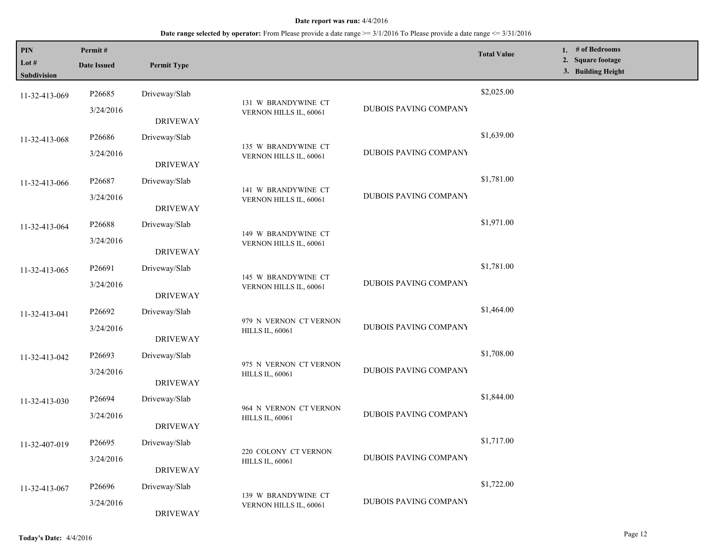| PIN<br>Lot #<br>Subdivision | Permit#<br><b>Date Issued</b> | <b>Permit Type</b> |                                               |                              | <b>Total Value</b> | 1. # of Bedrooms<br>2. Square footage<br>3. Building Height |
|-----------------------------|-------------------------------|--------------------|-----------------------------------------------|------------------------------|--------------------|-------------------------------------------------------------|
| 11-32-413-069               | P26685                        | Driveway/Slab      |                                               |                              | \$2,025.00         |                                                             |
|                             | 3/24/2016                     | <b>DRIVEWAY</b>    | 131 W BRANDYWINE CT<br>VERNON HILLS IL, 60061 | DUBOIS PAVING COMPANY        |                    |                                                             |
| 11-32-413-068               | P26686                        | Driveway/Slab      | 135 W BRANDYWINE CT                           |                              | \$1,639.00         |                                                             |
|                             | 3/24/2016                     | <b>DRIVEWAY</b>    | VERNON HILLS IL, 60061                        | <b>DUBOIS PAVING COMPANY</b> |                    |                                                             |
| 11-32-413-066               | P26687                        | Driveway/Slab      | 141 W BRANDYWINE CT                           |                              | \$1,781.00         |                                                             |
|                             | 3/24/2016                     | <b>DRIVEWAY</b>    | VERNON HILLS IL, 60061                        | DUBOIS PAVING COMPANY        |                    |                                                             |
| 11-32-413-064               | P <sub>26688</sub>            | Driveway/Slab      | 149 W BRANDYWINE CT                           |                              | \$1,971.00         |                                                             |
|                             | 3/24/2016                     | <b>DRIVEWAY</b>    | VERNON HILLS IL, 60061                        |                              |                    |                                                             |
| 11-32-413-065               | P26691                        | Driveway/Slab      |                                               |                              | \$1,781.00         |                                                             |
|                             | 3/24/2016                     | <b>DRIVEWAY</b>    | 145 W BRANDYWINE CT<br>VERNON HILLS IL, 60061 | DUBOIS PAVING COMPANY        |                    |                                                             |
| 11-32-413-041               | P26692                        | Driveway/Slab      | 979 N VERNON CT VERNON                        |                              | \$1,464.00         |                                                             |
|                             | 3/24/2016                     | <b>DRIVEWAY</b>    | <b>HILLS IL, 60061</b>                        | DUBOIS PAVING COMPANY        |                    |                                                             |
| 11-32-413-042               | P26693                        | Driveway/Slab      | 975 N VERNON CT VERNON                        |                              | \$1,708.00         |                                                             |
|                             | 3/24/2016                     | <b>DRIVEWAY</b>    | <b>HILLS IL, 60061</b>                        | <b>DUBOIS PAVING COMPANY</b> |                    |                                                             |
| 11-32-413-030               | P26694                        | Driveway/Slab      | 964 N VERNON CT VERNON                        |                              | \$1,844.00         |                                                             |
|                             | 3/24/2016                     | <b>DRIVEWAY</b>    | <b>HILLS IL, 60061</b>                        | DUBOIS PAVING COMPANY        |                    |                                                             |
| 11-32-407-019               | P <sub>26695</sub>            | Driveway/Slab      | 220 COLONY CT VERNON                          |                              | \$1,717.00         |                                                             |
|                             | 3/24/2016                     | <b>DRIVEWAY</b>    | <b>HILLS IL, 60061</b>                        | DUBOIS PAVING COMPANY        |                    |                                                             |
| 11-32-413-067               | P26696                        | Driveway/Slab      |                                               |                              | \$1,722.00         |                                                             |
|                             | 3/24/2016                     | <b>DRIVEWAY</b>    | 139 W BRANDYWINE CT<br>VERNON HILLS IL, 60061 | DUBOIS PAVING COMPANY        |                    |                                                             |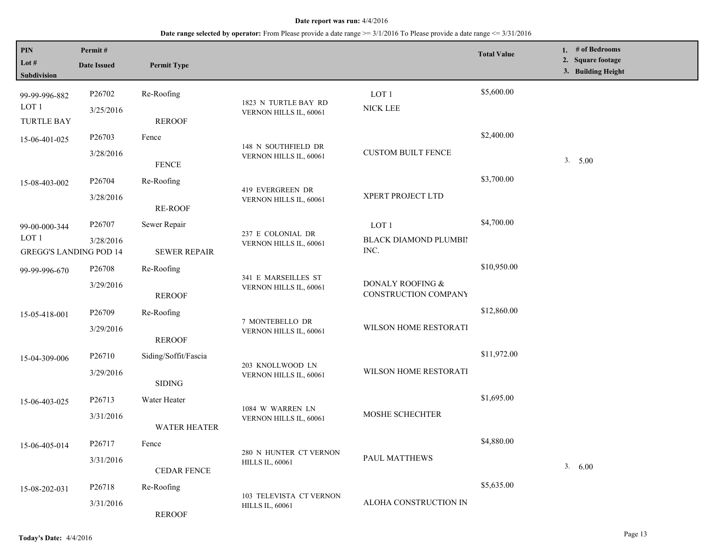| PIN<br>Lot $#$<br><b>Subdivision</b>                               | Permit#<br><b>Date Issued</b>   | <b>Permit Type</b>                    |                                                   |                                                   | <b>Total Value</b> | 1. $#$ of Bedrooms<br>2. Square footage<br>3. Building Height |
|--------------------------------------------------------------------|---------------------------------|---------------------------------------|---------------------------------------------------|---------------------------------------------------|--------------------|---------------------------------------------------------------|
| 99-99-996-882<br>LOT <sub>1</sub><br><b>TURTLE BAY</b>             | P26702<br>3/25/2016             | Re-Roofing<br><b>REROOF</b>           | 1823 N TURTLE BAY RD<br>VERNON HILLS IL, 60061    | LOT <sub>1</sub><br>NICK LEE                      | \$5,600.00         |                                                               |
| 15-06-401-025                                                      | P <sub>26703</sub><br>3/28/2016 | Fence<br><b>FENCE</b>                 | 148 N SOUTHFIELD DR<br>VERNON HILLS IL, 60061     | <b>CUSTOM BUILT FENCE</b>                         | \$2,400.00         | 3. 5.00                                                       |
| 15-08-403-002                                                      | P26704<br>3/28/2016             | Re-Roofing<br><b>RE-ROOF</b>          | 419 EVERGREEN DR<br>VERNON HILLS IL, 60061        | XPERT PROJECT LTD                                 | \$3,700.00         |                                                               |
| 99-00-000-344<br>LOT <sub>1</sub><br><b>GREGG'S LANDING POD 14</b> | P26707<br>3/28/2016             | Sewer Repair<br><b>SEWER REPAIR</b>   | 237 E COLONIAL DR<br>VERNON HILLS IL, 60061       | LOT <sub>1</sub><br>BLACK DIAMOND PLUMBII<br>INC. | \$4,700.00         |                                                               |
| 99-99-996-670                                                      | P26708<br>3/29/2016             | Re-Roofing<br><b>REROOF</b>           | 341 E MARSEILLES ST<br>VERNON HILLS IL, 60061     | DONALY ROOFING &<br>CONSTRUCTION COMPANY          | \$10,950.00        |                                                               |
| 15-05-418-001                                                      | P26709<br>3/29/2016             | Re-Roofing<br><b>REROOF</b>           | 7 MONTEBELLO DR<br>VERNON HILLS IL, 60061         | WILSON HOME RESTORATI                             | \$12,860.00        |                                                               |
| 15-04-309-006                                                      | P26710<br>3/29/2016             | Siding/Soffit/Fascia<br><b>SIDING</b> | 203 KNOLLWOOD LN<br>VERNON HILLS IL, 60061        | WILSON HOME RESTORATI                             | \$11,972.00        |                                                               |
| 15-06-403-025                                                      | P <sub>26713</sub><br>3/31/2016 | Water Heater<br><b>WATER HEATER</b>   | 1084 W WARREN LN<br>VERNON HILLS IL, 60061        | MOSHE SCHECHTER                                   | \$1,695.00         |                                                               |
| 15-06-405-014                                                      | P26717<br>3/31/2016             | Fence<br><b>CEDAR FENCE</b>           | 280 N HUNTER CT VERNON<br><b>HILLS IL, 60061</b>  | PAUL MATTHEWS                                     | \$4,880.00         | 3. 6.00                                                       |
| 15-08-202-031                                                      | P26718<br>3/31/2016             | Re-Roofing<br><b>REROOF</b>           | 103 TELEVISTA CT VERNON<br><b>HILLS IL, 60061</b> | ALOHA CONSTRUCTION IN                             | \$5,635.00         |                                                               |